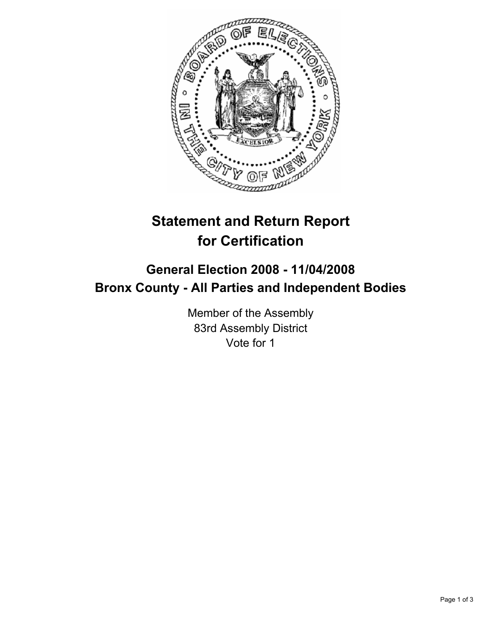

## **Statement and Return Report for Certification**

## **General Election 2008 - 11/04/2008 Bronx County - All Parties and Independent Bodies**

Member of the Assembly 83rd Assembly District Vote for 1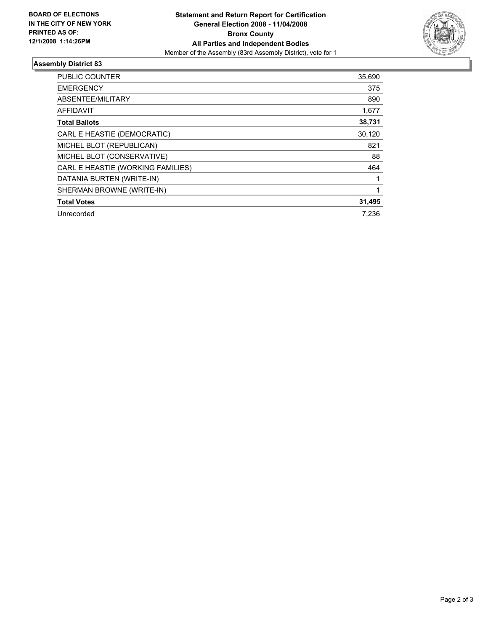

## **Assembly District 83**

| <b>PUBLIC COUNTER</b>             | 35,690 |
|-----------------------------------|--------|
| <b>EMERGENCY</b>                  | 375    |
| ABSENTEE/MILITARY                 | 890    |
| <b>AFFIDAVIT</b>                  | 1,677  |
| <b>Total Ballots</b>              | 38,731 |
| CARL E HEASTIE (DEMOCRATIC)       | 30,120 |
| MICHEL BLOT (REPUBLICAN)          | 821    |
| MICHEL BLOT (CONSERVATIVE)        | 88     |
| CARL E HEASTIE (WORKING FAMILIES) | 464    |
| DATANIA BURTEN (WRITE-IN)         |        |
| SHERMAN BROWNE (WRITE-IN)         |        |
| <b>Total Votes</b>                | 31,495 |
| Unrecorded                        | 7.236  |